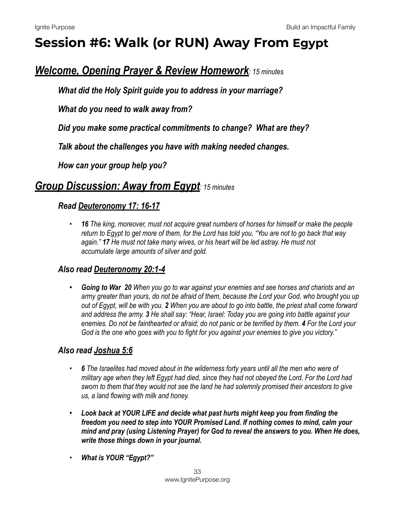# **Session #6: Walk (or RUN) Away From Egypt**

# *Welcome, Opening Prayer & Review Homework: 15 minutes*

*What did the Holy Spirit guide you to address in your marriage?* 

 *What do you need to walk away from?* 

 *Did you make some practical commitments to change? What are they?* 

 *Talk about the challenges you have with making needed changes.* 

 *How can your group help you?* 

## *Group Discussion: Away from Egypt: 15 minutes*

## *Read [Deuteronomy 17: 16-17](https://www.biblegateway.com/passage/?search=Deuteronomy+17:16-17&version=NIV)*

*• 16 The king, moreover, must not acquire great numbers of horses for himself or make the people return to Egypt to get more of them, for the Lord has told you, "You are not to go back that way again." 17 He must not take many wives, or his heart will be led astray. He must not accumulate large amounts of silver and gold.* 

## *Also read [Deuteronomy 20:1-4](https://www.biblegateway.com/passage/?search=Deuteronomy+20:1-4&version=NIV)*

*• Going to War 20 When you go to war against your enemies and see horses and chariots and an army greater than yours, do not be afraid of them, because the Lord your God, who brought you up out of Egypt, will be with you. 2 When you are about to go into battle, the priest shall come forward and address the army. 3 He shall say: "Hear, Israel: Today you are going into battle against your enemies. Do not be fainthearted or afraid; do not panic or be terrified by them. 4 For the Lord your God is the one who goes with you to fight for you against your enemies to give you victory."*

## *Also read [Joshua 5:6](https://www.biblegateway.com/passage/?search=Joshua+5:6&version=NIV)*

- *• 6 The Israelites had moved about in the wilderness forty years until all the men who were of military age when they left Egypt had died, since they had not obeyed the Lord. For the Lord had sworn to them that they would not see the land he had solemnly promised their ancestors to give us, a land flowing with milk and honey.*
- *• Look back at YOUR LIFE and decide what past hurts might keep you from finding the freedom you need to step into YOUR Promised Land. If nothing comes to mind, calm your mind and pray (using Listening Prayer) for God to reveal the answers to you. When He does, write those things down in your journal.*
- *• What is YOUR "Egypt?"*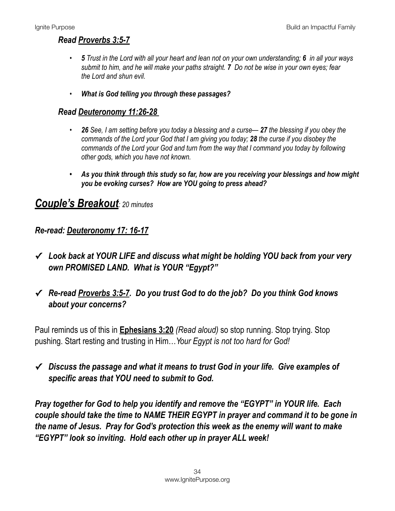## *Read [Proverbs 3:5-7](https://www.biblegateway.com/passage/?search=Proverbs+3:5-7&version=NIV)*

- *• 5 Trust in the Lord with all your heart and lean not on your own understanding; 6 in all your ways submit to him, and he will make your paths straight. 7 Do not be wise in your own eyes; fear the Lord and shun evil.*
- *• What is God telling you through these passages?*

#### *Read [Deuteronomy 11:26-28](https://www.biblegateway.com/passage/?search=Deuteronomy+11:26-28&version=NIV)*

- *• 26 See, I am setting before you today a blessing and a curse— 27 the blessing if you obey the commands of the Lord your God that I am giving you today; 28 the curse if you disobey the commands of the Lord your God and turn from the way that I command you today by following other gods, which you have not known.*
- *• As you think through this study so far, how are you receiving your blessings and how might you be evoking curses? How are YOU going to press ahead?*

## *Couple's Breakout: 20 minutes*

## *Re-read: [Deuteronomy 17: 16-17](https://www.biblegateway.com/passage/?search=Deuteronomy+17:16-17&version=NIV)*

- **✓** *Look back at YOUR LIFE and discuss what might be holding YOU back from your very own PROMISED LAND. What is YOUR "Egypt?"*
- **✓** *Re-read [Proverbs 3:5-7.](https://www.biblegateway.com/passage/?search=Proverbs+3:5-7&version=NIV) Do you trust God to do the job? Do you think God knows about your concerns?*

Paul reminds us of this in **[Ephesians 3:20](https://www.biblegateway.com/passage/?search=Eph++3:20)** *(Read aloud)* so stop running. Stop trying. Stop pushing. Start resting and trusting in Him…*Your Egypt is not too hard for God!* 

**✓** *Discuss the passage and what it means to trust God in your life. Give examples of specific areas that YOU need to submit to God.* 

*Pray together for God to help you identify and remove the "EGYPT" in YOUR life. Each couple should take the time to NAME THEIR EGYPT in prayer and command it to be gone in the name of Jesus. Pray for God's protection this week as the enemy will want to make "EGYPT" look so inviting. Hold each other up in prayer ALL week!*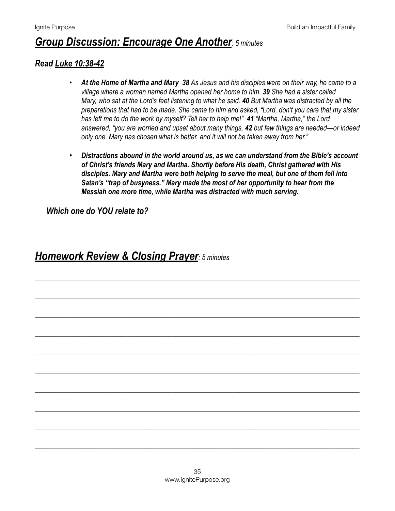## *Group Discussion: Encourage One Another: 5 minutes*

### *Read [Luke 10:38-42](https://www.biblegateway.com/passage/?search=Luke+10:38-42&version=NIV)*

- *• At the Home of Martha and Mary 38 As Jesus and his disciples were on their way, he came to a village where a woman named Martha opened her home to him. 39 She had a sister called Mary, who sat at the Lord's feet listening to what he said. 40 But Martha was distracted by all the preparations that had to be made. She came to him and asked, "Lord, don't you care that my sister has left me to do the work by myself? Tell her to help me!" 41 "Martha, Martha," the Lord answered, "you are worried and upset about many things, 42 but few things are needed—or indeed only one. Mary has chosen what is better, and it will not be taken away from her."*
- *• Distractions abound in the world around us, as we can understand from the Bible's account of Christ's friends Mary and Martha. Shortly before His death, Christ gathered with His disciples. Mary and Martha were both helping to serve the meal, but one of them fell into Satan's "trap of busyness." Mary made the most of her opportunity to hear from the Messiah one more time, while Martha was distracted with much serving.*

\_\_\_\_\_\_\_\_\_\_\_\_\_\_\_\_\_\_\_\_\_\_\_\_\_\_\_\_\_\_\_\_\_\_\_\_\_\_\_\_\_\_\_\_\_\_\_\_\_\_\_\_\_\_\_\_\_\_\_\_\_\_\_\_\_\_\_\_\_\_\_\_\_\_\_\_\_\_\_\_\_\_\_\_\_\_\_\_\_\_\_\_

\_\_\_\_\_\_\_\_\_\_\_\_\_\_\_\_\_\_\_\_\_\_\_\_\_\_\_\_\_\_\_\_\_\_\_\_\_\_\_\_\_\_\_\_\_\_\_\_\_\_\_\_\_\_\_\_\_\_\_\_\_\_\_\_\_\_\_\_\_\_\_\_\_\_\_\_\_\_\_\_\_\_\_\_\_\_\_\_\_\_\_\_

\_\_\_\_\_\_\_\_\_\_\_\_\_\_\_\_\_\_\_\_\_\_\_\_\_\_\_\_\_\_\_\_\_\_\_\_\_\_\_\_\_\_\_\_\_\_\_\_\_\_\_\_\_\_\_\_\_\_\_\_\_\_\_\_\_\_\_\_\_\_\_\_\_\_\_\_\_\_\_\_\_\_\_\_\_\_\_\_\_\_\_\_

\_\_\_\_\_\_\_\_\_\_\_\_\_\_\_\_\_\_\_\_\_\_\_\_\_\_\_\_\_\_\_\_\_\_\_\_\_\_\_\_\_\_\_\_\_\_\_\_\_\_\_\_\_\_\_\_\_\_\_\_\_\_\_\_\_\_\_\_\_\_\_\_\_\_\_\_\_\_\_\_\_\_\_\_\_\_\_\_\_\_\_\_

\_\_\_\_\_\_\_\_\_\_\_\_\_\_\_\_\_\_\_\_\_\_\_\_\_\_\_\_\_\_\_\_\_\_\_\_\_\_\_\_\_\_\_\_\_\_\_\_\_\_\_\_\_\_\_\_\_\_\_\_\_\_\_\_\_\_\_\_\_\_\_\_\_\_\_\_\_\_\_\_\_\_\_\_\_\_\_\_\_\_\_\_

\_\_\_\_\_\_\_\_\_\_\_\_\_\_\_\_\_\_\_\_\_\_\_\_\_\_\_\_\_\_\_\_\_\_\_\_\_\_\_\_\_\_\_\_\_\_\_\_\_\_\_\_\_\_\_\_\_\_\_\_\_\_\_\_\_\_\_\_\_\_\_\_\_\_\_\_\_\_\_\_\_\_\_\_\_\_\_\_\_\_\_\_

\_\_\_\_\_\_\_\_\_\_\_\_\_\_\_\_\_\_\_\_\_\_\_\_\_\_\_\_\_\_\_\_\_\_\_\_\_\_\_\_\_\_\_\_\_\_\_\_\_\_\_\_\_\_\_\_\_\_\_\_\_\_\_\_\_\_\_\_\_\_\_\_\_\_\_\_\_\_\_\_\_\_\_\_\_\_\_\_\_\_\_\_

\_\_\_\_\_\_\_\_\_\_\_\_\_\_\_\_\_\_\_\_\_\_\_\_\_\_\_\_\_\_\_\_\_\_\_\_\_\_\_\_\_\_\_\_\_\_\_\_\_\_\_\_\_\_\_\_\_\_\_\_\_\_\_\_\_\_\_\_\_\_\_\_\_\_\_\_\_\_\_\_\_\_\_\_\_\_\_\_\_\_\_\_

\_\_\_\_\_\_\_\_\_\_\_\_\_\_\_\_\_\_\_\_\_\_\_\_\_\_\_\_\_\_\_\_\_\_\_\_\_\_\_\_\_\_\_\_\_\_\_\_\_\_\_\_\_\_\_\_\_\_\_\_\_\_\_\_\_\_\_\_\_\_\_\_\_\_\_\_\_\_\_\_\_\_\_\_\_\_\_\_\_\_\_\_

\_\_\_\_\_\_\_\_\_\_\_\_\_\_\_\_\_\_\_\_\_\_\_\_\_\_\_\_\_\_\_\_\_\_\_\_\_\_\_\_\_\_\_\_\_\_\_\_\_\_\_\_\_\_\_\_\_\_\_\_\_\_\_\_\_\_\_\_\_\_\_\_\_\_\_\_\_\_\_\_\_\_\_\_\_\_\_\_\_\_\_\_

*Which one do YOU relate to?*

*Homework Review & Closing Prayer: 5 minutes*